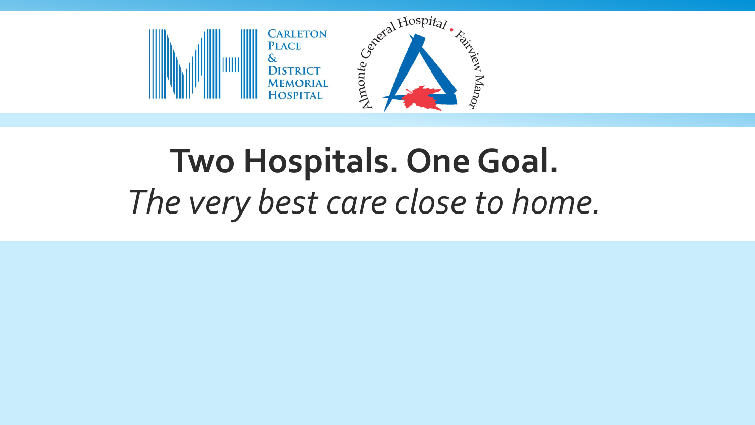

# **Two Hospitals. One Goal.** *The very best care close to home.*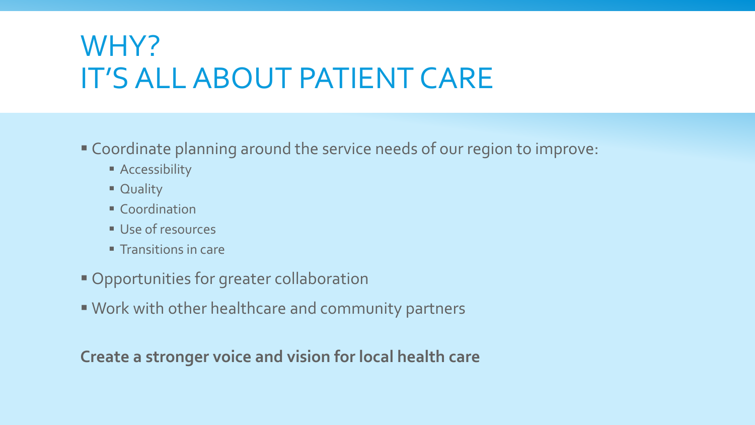## WHY? IT'S ALL ABOUT PATIENT CARE

- Coordinate planning around the service needs of our region to improve:
	- **Accessibility**
	- **Ouality**
	- **Coordination**
	- Use of resources
	- $\blacksquare$  Transitions in care
- Opportunities for greater collaboration
- Work with other healthcare and community partners

**Create a stronger voice and vision for local health care**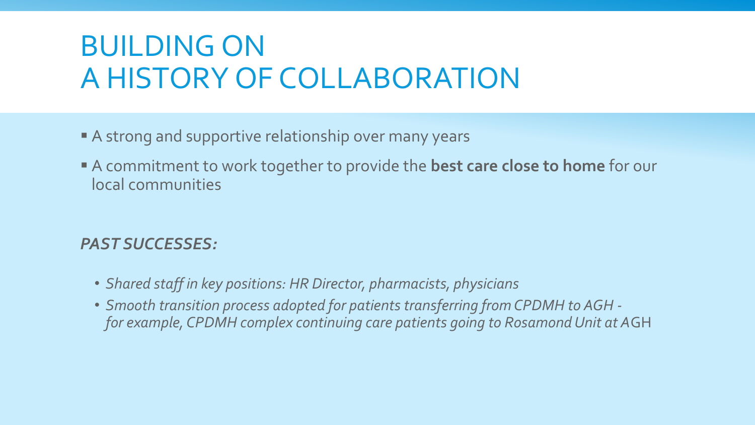# BUILDING ON A HISTORY OF COLLABORATION

- A strong and supportive relationship over many years
- A commitment to work together to provide the **best care close to home** for our local communities

#### *PAST SUCCESSES:*

- *Shared staff in key positions: HR Director, pharmacists, physicians*
- *Smooth transition process adopted for patients transferring from CPDMH to AGH for example, CPDMH complex continuing care patients going to Rosamond Unit at A*GH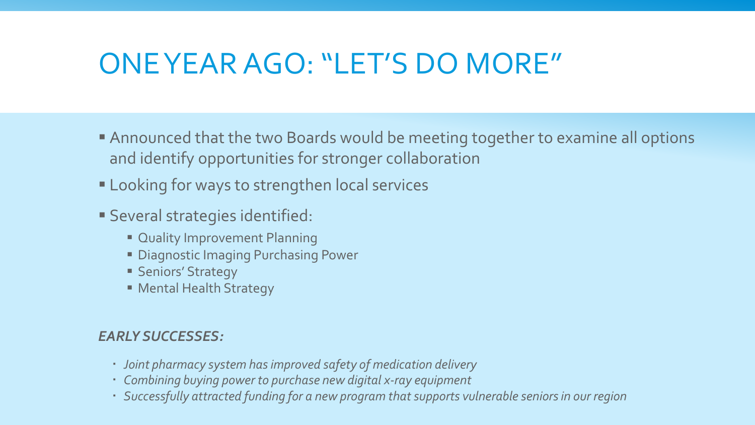### ONE YEAR AGO: "LET'S DO MORE"

- Announced that the two Boards would be meeting together to examine all options and identify opportunities for stronger collaboration
- **Looking for ways to strengthen local services**
- Several strategies identified:
	- **Cuality Improvement Planning**
	- **Diagnostic Imaging Purchasing Power**
	- **Seniors' Strategy**
	- Mental Health Strategy

#### *EARLY SUCCESSES:*

- *Joint pharmacy system has improved safety of medication delivery*
- *Combining buying power to purchase new digital x-ray equipment*
- *Successfully attracted funding for a new program that supports vulnerable seniors in our region*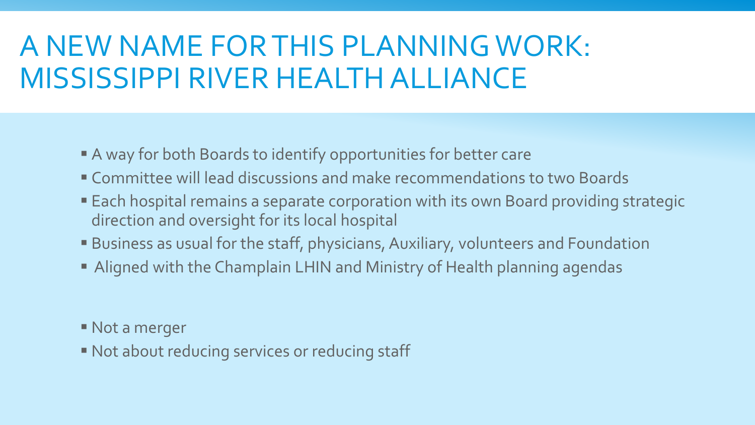## A NEW NAME FOR THIS PLANNING WORK: MISSISSIPPI RIVER HEALTH ALLIANCE

- A way for both Boards to identify opportunities for better care
- Committee will lead discussions and make recommendations to two Boards
- Each hospital remains a separate corporation with its own Board providing strategic direction and oversight for its local hospital
- Business as usual for the staff, physicians, Auxiliary, volunteers and Foundation
- Aligned with the Champlain LHIN and Ministry of Health planning agendas
- Not a merger
- Not about reducing services or reducing staff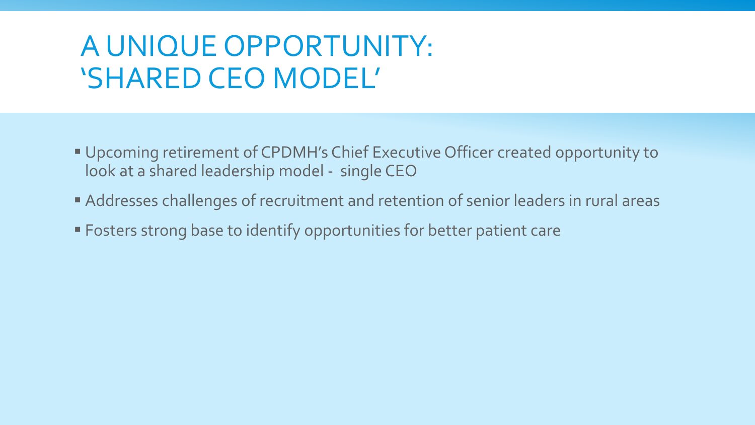### A UNIQUE OPPORTUNITY: 'SHARED CEO MODEL'

- Upcoming retirement of CPDMH's Chief Executive Officer created opportunity to look at a shared leadership model - single CEO
- Addresses challenges of recruitment and retention of senior leaders in rural areas
- **Fosters strong base to identify opportunities for better patient care**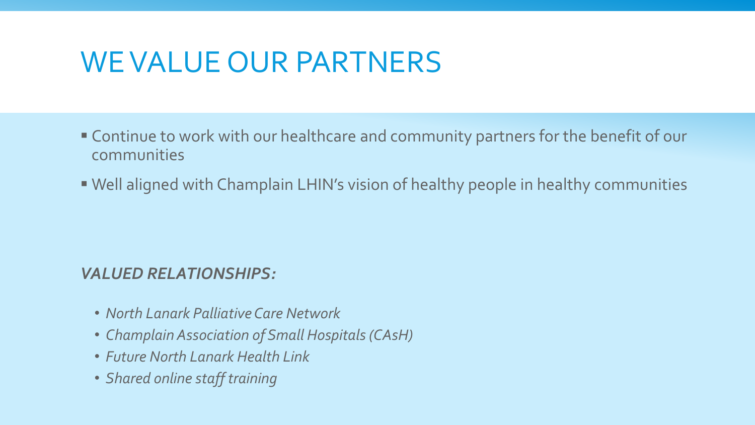#### WE VALUE OUR PARTNERS

- Continue to work with our healthcare and community partners for the benefit of our communities
- Well aligned with Champlain LHIN's vision of healthy people in healthy communities

#### *VALUED RELATIONSHIPS:*

- *North Lanark Palliative Care Network*
- *Champlain Association of Small Hospitals (CAsH)*
- *Future North Lanark Health Link*
- *Shared online staff training*